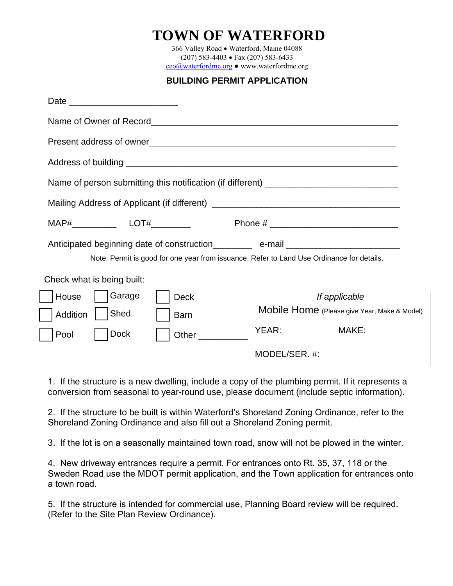### **TOWN OF WATERFORD**

366 Valley Road • Waterford, Maine 04088 (207) 583-4403 Fax (207) 583-6433 ceo@waterfordme.org ● www.waterfordme.org

#### **BUILDING PERMIT APPLICATION**

| Name of person submitting this notification (if different) ______________________         |                                              |
|-------------------------------------------------------------------------------------------|----------------------------------------------|
|                                                                                           |                                              |
|                                                                                           |                                              |
| Anticipated beginning date of construction_________ e-mail______________________          |                                              |
| Note: Permit is good for one year from issuance. Refer to Land Use Ordinance for details. |                                              |
| Check what is being built:                                                                |                                              |
| Garage<br>House<br><b>Deck</b>                                                            | If applicable                                |
| Shed<br>Addition<br><b>Barn</b>                                                           | Mobile Home (Please give Year, Make & Model) |
| <b>Dock</b><br>Other<br>Pool                                                              | YEAR:<br>MAKE:                               |
|                                                                                           | MODEL/SER. #:                                |
|                                                                                           |                                              |

1. If the structure is a new dwelling, include a copy of the plumbing permit. If it represents a conversion from seasonal to year-round use, please document (include septic information).

2. If the structure to be built is within Waterford's Shoreland Zoning Ordinance, refer to the Shoreland Zoning Ordinance and also fill out a Shoreland Zoning permit.

3. If the lot is on a seasonally maintained town road, snow will not be plowed in the winter.

4. New driveway entrances require a permit. For entrances onto Rt. 35, 37, 118 or the Sweden Road use the MDOT permit application, and the Town application for entrances onto a town road.

5. If the structure is intended for commercial use, Planning Board review will be required. (Refer to the Site Plan Review Ordinance).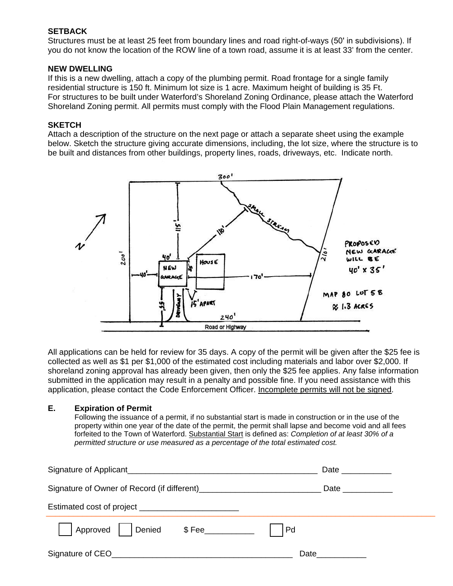#### **SETBACK**

Structures must be at least 25 feet from boundary lines and road right-of-ways (50' in subdivisions). If you do not know the location of the ROW line of a town road, assume it is at least 33' from the center.

#### **NEW DWELLING**

If this is a new dwelling, attach a copy of the plumbing permit. Road frontage for a single family residential structure is 150 ft. Minimum lot size is 1 acre. Maximum height of building is 35 Ft. For structures to be built under Waterford's Shoreland Zoning Ordinance, please attach the Waterford Shoreland Zoning permit. All permits must comply with the Flood Plain Management regulations.

#### **SKETCH**

Attach a description of the structure on the next page or attach a separate sheet using the example below. Sketch the structure giving accurate dimensions, including, the lot size, where the structure is to be built and distances from other buildings, property lines, roads, driveways, etc. Indicate north.



All applications can be held for review for 35 days. A copy of the permit will be given after the \$25 fee is collected as well as \$1 per \$1,000 of the estimated cost including materials and labor over \$2,000. If shoreland zoning approval has already been given, then only the \$25 fee applies. Any false information submitted in the application may result in a penalty and possible fine. If you need assistance with this application, please contact the Code Enforcement Officer. Incomplete permits will not be signed.

#### **E. Expiration of Permit**

Following the issuance of a permit, if no substantial start is made in construction or in the use of the property within one year of the date of the permit, the permit shall lapse and become void and all fees forfeited to the Town of Waterford. Substantial Start is defined as: *Completion of at least 30% of a permitted structure or use measured as a percentage of the total estimated cost.*

| Signature of Applicant                                                                     | Date _____________ |
|--------------------------------------------------------------------------------------------|--------------------|
| Signature of Owner of Record (if different)<br>Signature of Owner of Record (if different) | Date ____________  |
| Estimated cost of project ____________________________                                     |                    |
| Approved   Denied \$Fee_________                                                           | Pd                 |
| Signature of CEO                                                                           | Date               |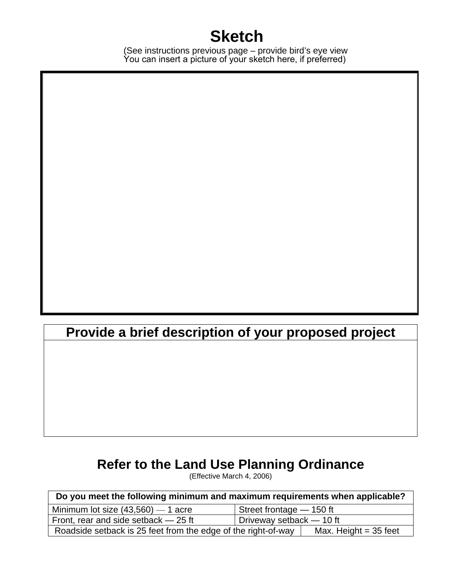# **Sketch**

(See instructions previous page – provide bird's eye view You can insert a picture of your sketch here, if preferred)

# **Provide a brief description of your proposed project**

## **Refer to the Land Use Planning Ordinance**

(Effective March 4, 2006)

| Do you meet the following minimum and maximum requirements when applicable?              |                          |  |
|------------------------------------------------------------------------------------------|--------------------------|--|
| Minimum lot size $(43,560)$ - 1 acre                                                     | Street frontage - 150 ft |  |
| Front, rear and side setback – 25 ft                                                     | Driveway setback - 10 ft |  |
| Roadside setback is 25 feet from the edge of the right-of-way<br>Max. Height $=$ 35 feet |                          |  |